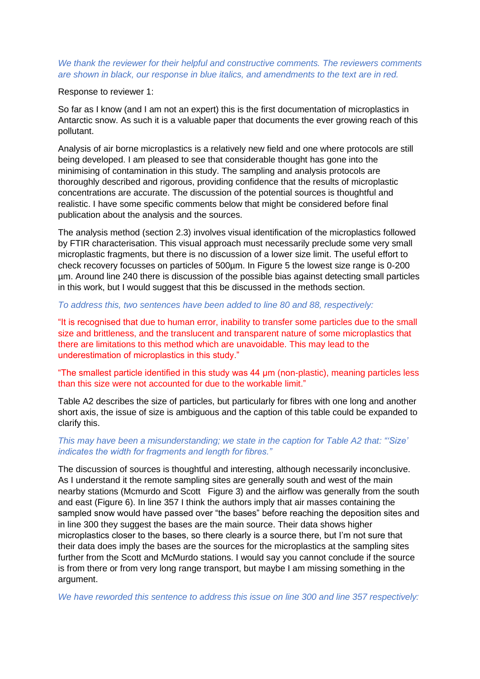## *We thank the reviewer for their helpful and constructive comments. The reviewers comments are shown in black, our response in blue italics, and amendments to the text are in red.*

#### Response to reviewer 1:

So far as I know (and I am not an expert) this is the first documentation of microplastics in Antarctic snow. As such it is a valuable paper that documents the ever growing reach of this pollutant.

Analysis of air borne microplastics is a relatively new field and one where protocols are still being developed. I am pleased to see that considerable thought has gone into the minimising of contamination in this study. The sampling and analysis protocols are thoroughly described and rigorous, providing confidence that the results of microplastic concentrations are accurate. The discussion of the potential sources is thoughtful and realistic. I have some specific comments below that might be considered before final publication about the analysis and the sources.

The analysis method (section 2.3) involves visual identification of the microplastics followed by FTIR characterisation. This visual approach must necessarily preclude some very small microplastic fragments, but there is no discussion of a lower size limit. The useful effort to check recovery focusses on particles of 500µm. In Figure 5 the lowest size range is 0-200 µm. Around line 240 there is discussion of the possible bias against detecting small particles in this work, but I would suggest that this be discussed in the methods section.

### *To address this, two sentences have been added to line 80 and 88, respectively:*

"It is recognised that due to human error, inability to transfer some particles due to the small size and brittleness, and the translucent and transparent nature of some microplastics that there are limitations to this method which are unavoidable. This may lead to the underestimation of microplastics in this study."

"The smallest particle identified in this study was 44 μm (non-plastic), meaning particles less than this size were not accounted for due to the workable limit."

Table A2 describes the size of particles, but particularly for fibres with one long and another short axis, the issue of size is ambiguous and the caption of this table could be expanded to clarify this.

# *This may have been a misunderstanding; we state in the caption for Table A2 that: "'Size' indicates the width for fragments and length for fibres."*

The discussion of sources is thoughtful and interesting, although necessarily inconclusive. As I understand it the remote sampling sites are generally south and west of the main nearby stations (Mcmurdo and Scott Figure 3) and the airflow was generally from the south and east (Figure 6). In line 357 I think the authors imply that air masses containing the sampled snow would have passed over "the bases" before reaching the deposition sites and in line 300 they suggest the bases are the main source. Their data shows higher microplastics closer to the bases, so there clearly is a source there, but I'm not sure that their data does imply the bases are the sources for the microplastics at the sampling sites further from the Scott and McMurdo stations. I would say you cannot conclude if the source is from there or from very long range transport, but maybe I am missing something in the argument.

*We have reworded this sentence to address this issue on line 300 and line 357 respectively:*